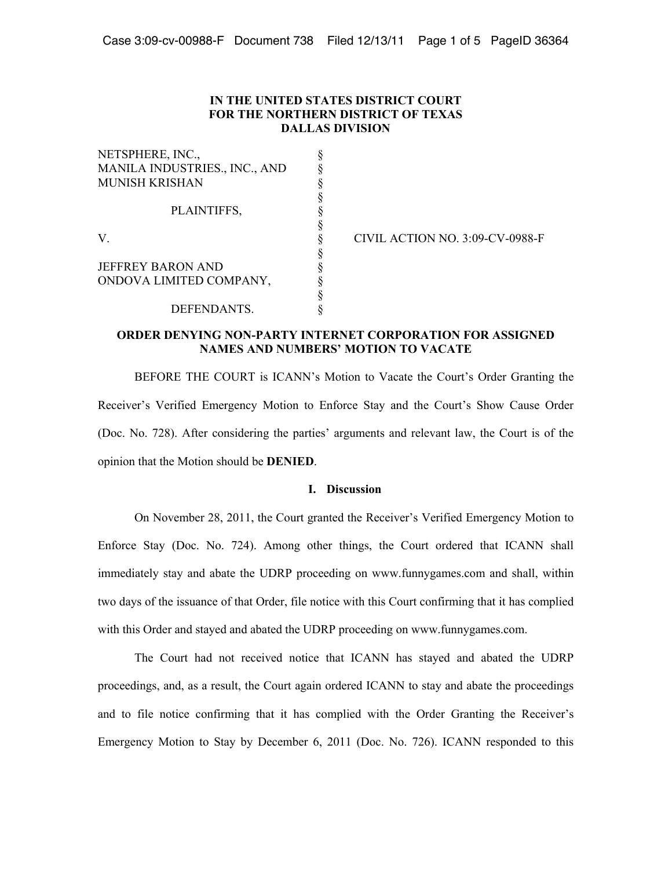## **IN THE UNITED STATES DISTRICT COURT FOR THE NORTHERN DISTRICT OF TEXAS DALLAS DIVISION**

| NETSPHERE, INC.,              |  |
|-------------------------------|--|
| MANILA INDUSTRIES., INC., AND |  |
| <b>MUNISH KRISHAN</b>         |  |
|                               |  |
| PLAINTIFFS,                   |  |
|                               |  |
| V                             |  |
|                               |  |
| <b>JEFFREY BARON AND</b>      |  |
| ONDOVA LIMITED COMPANY,       |  |
|                               |  |
| DEFENDANTS.                   |  |

CIVIL ACTION NO. 3:09-CV-0988-F

# **ORDER DENYING NON-PARTY INTERNET CORPORATION FOR ASSIGNED NAMES AND NUMBERS' MOTION TO VACATE**

BEFORE THE COURT is ICANN's Motion to Vacate the Court's Order Granting the Receiver's Verified Emergency Motion to Enforce Stay and the Court's Show Cause Order (Doc. No. 728). After considering the parties' arguments and relevant law, the Court is of the opinion that the Motion should be **DENIED**.

## **I. Discussion**

On November 28, 2011, the Court granted the Receiver's Verified Emergency Motion to Enforce Stay (Doc. No. 724). Among other things, the Court ordered that ICANN shall immediately stay and abate the UDRP proceeding on www.funnygames.com and shall, within two days of the issuance of that Order, file notice with this Court confirming that it has complied with this Order and stayed and abated the UDRP proceeding on www.funnygames.com.

The Court had not received notice that ICANN has stayed and abated the UDRP proceedings, and, as a result, the Court again ordered ICANN to stay and abate the proceedings and to file notice confirming that it has complied with the Order Granting the Receiver's Emergency Motion to Stay by December 6, 2011 (Doc. No. 726). ICANN responded to this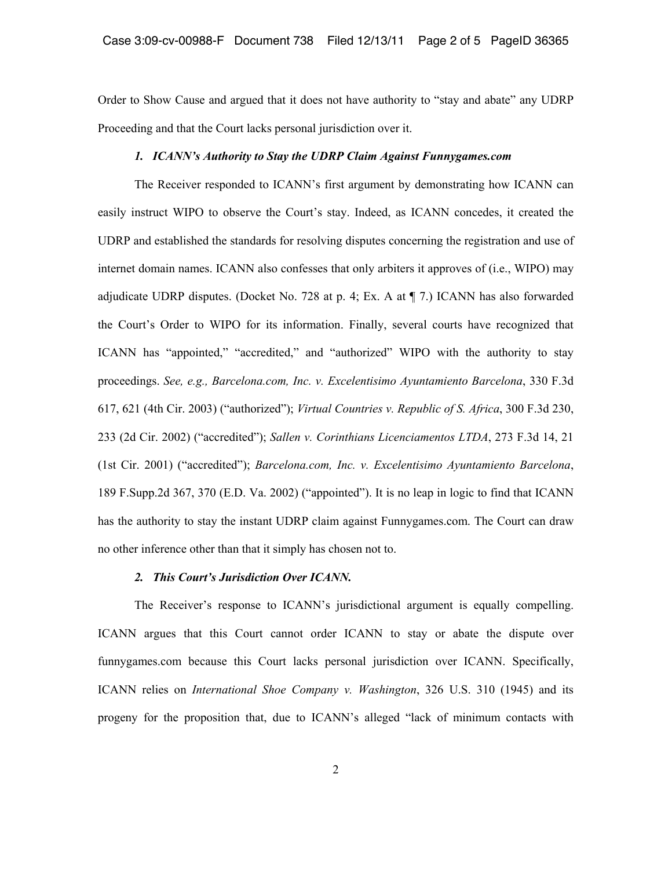Order to Show Cause and argued that it does not have authority to "stay and abate" any UDRP Proceeding and that the Court lacks personal jurisdiction over it.

## *1. ICANN's Authority to Stay the UDRP Claim Against Funnygames.com*

The Receiver responded to ICANN's first argument by demonstrating how ICANN can easily instruct WIPO to observe the Court's stay. Indeed, as ICANN concedes, it created the UDRP and established the standards for resolving disputes concerning the registration and use of internet domain names. ICANN also confesses that only arbiters it approves of (i.e., WIPO) may adjudicate UDRP disputes. (Docket No. 728 at p. 4; Ex. A at ¶ 7.) ICANN has also forwarded the Court's Order to WIPO for its information. Finally, several courts have recognized that ICANN has "appointed," "accredited," and "authorized" WIPO with the authority to stay proceedings. *See, e.g., Barcelona.com, Inc. v. Excelentisimo Ayuntamiento Barcelona*, 330 F.3d 617, 621 (4th Cir. 2003) ("authorized"); *Virtual Countries v. Republic of S. Africa*, 300 F.3d 230, 233 (2d Cir. 2002) ("accredited"); *Sallen v. Corinthians Licenciamentos LTDA*, 273 F.3d 14, 21 (1st Cir. 2001) ("accredited"); *Barcelona.com, Inc. v. Excelentisimo Ayuntamiento Barcelona*, 189 F.Supp.2d 367, 370 (E.D. Va. 2002) ("appointed"). It is no leap in logic to find that ICANN has the authority to stay the instant UDRP claim against Funnygames.com. The Court can draw no other inference other than that it simply has chosen not to.

#### *2. This Court's Jurisdiction Over ICANN.*

The Receiver's response to ICANN's jurisdictional argument is equally compelling. ICANN argues that this Court cannot order ICANN to stay or abate the dispute over funnygames.com because this Court lacks personal jurisdiction over ICANN. Specifically, ICANN relies on *International Shoe Company v. Washington*, 326 U.S. 310 (1945) and its progeny for the proposition that, due to ICANN's alleged "lack of minimum contacts with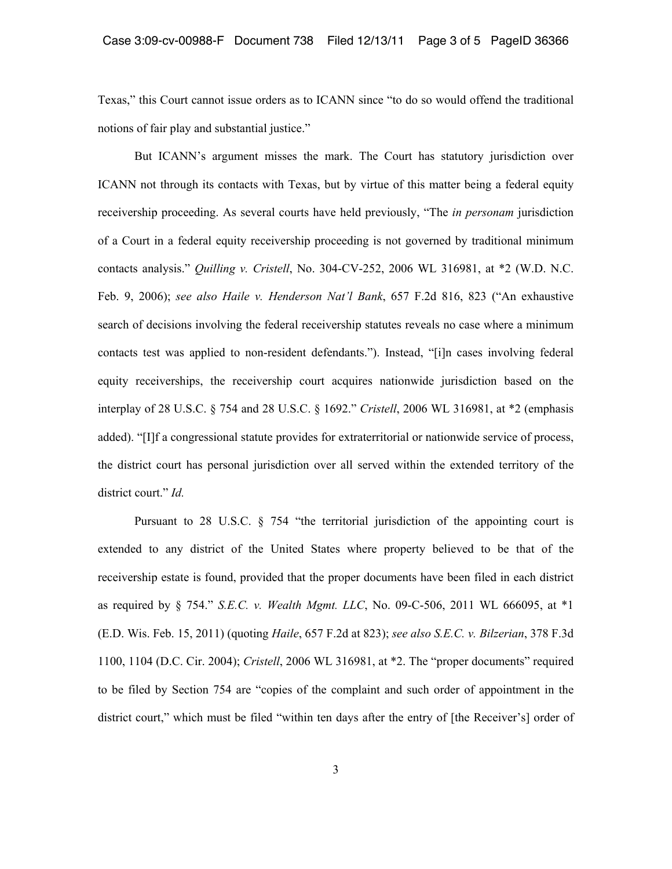Texas," this Court cannot issue orders as to ICANN since "to do so would offend the traditional notions of fair play and substantial justice."

But ICANN's argument misses the mark. The Court has statutory jurisdiction over ICANN not through its contacts with Texas, but by virtue of this matter being a federal equity receivership proceeding. As several courts have held previously, "The *in personam* jurisdiction of a Court in a federal equity receivership proceeding is not governed by traditional minimum contacts analysis." *Quilling v. Cristell*, No. 304-CV-252, 2006 WL 316981, at \*2 (W.D. N.C. Feb. 9, 2006); *see also Haile v. Henderson Nat'l Bank*, 657 F.2d 816, 823 ("An exhaustive search of decisions involving the federal receivership statutes reveals no case where a minimum contacts test was applied to non-resident defendants."). Instead, "[i]n cases involving federal equity receiverships, the receivership court acquires nationwide jurisdiction based on the interplay of 28 U.S.C. § 754 and 28 U.S.C. § 1692." *Cristell*, 2006 WL 316981, at \*2 (emphasis added). "[I]f a congressional statute provides for extraterritorial or nationwide service of process, the district court has personal jurisdiction over all served within the extended territory of the district court." *Id.* 

Pursuant to 28 U.S.C.  $\S$  754 "the territorial jurisdiction of the appointing court is extended to any district of the United States where property believed to be that of the receivership estate is found, provided that the proper documents have been filed in each district as required by § 754." *S.E.C. v. Wealth Mgmt. LLC*, No. 09-C-506, 2011 WL 666095, at \*1 (E.D. Wis. Feb. 15, 2011) (quoting *Haile*, 657 F.2d at 823); *see also S.E.C. v. Bilzerian*, 378 F.3d 1100, 1104 (D.C. Cir. 2004); *Cristell*, 2006 WL 316981, at \*2. The "proper documents" required to be filed by Section 754 are "copies of the complaint and such order of appointment in the district court," which must be filed "within ten days after the entry of [the Receiver's] order of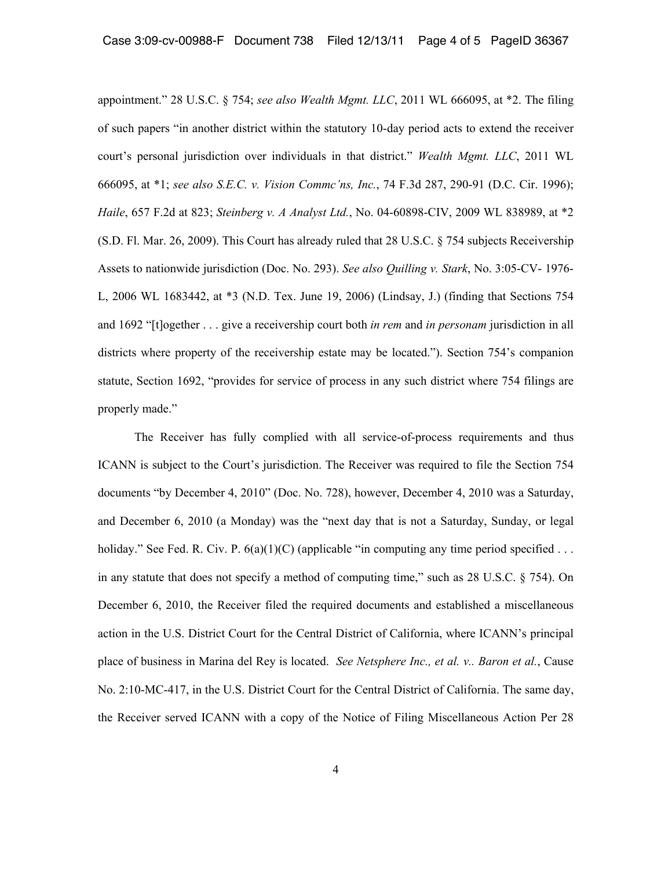appointment." 28 U.S.C. § 754; *see also Wealth Mgmt. LLC*, 2011 WL 666095, at \*2. The filing of such papers "in another district within the statutory 10-day period acts to extend the receiver court's personal jurisdiction over individuals in that district." *Wealth Mgmt. LLC*, 2011 WL 666095, at \*1; *see also S.E.C. v. Vision Commc'ns, Inc.*, 74 F.3d 287, 290-91 (D.C. Cir. 1996); *Haile*, 657 F.2d at 823; *Steinberg v. A Analyst Ltd.*, No. 04-60898-CIV, 2009 WL 838989, at \*2 (S.D. Fl. Mar. 26, 2009). This Court has already ruled that 28 U.S.C. § 754 subjects Receivership Assets to nationwide jurisdiction (Doc. No. 293). *See also Quilling v. Stark*, No. 3:05-CV- 1976- L, 2006 WL 1683442, at \*3 (N.D. Tex. June 19, 2006) (Lindsay, J.) (finding that Sections 754 and 1692 "[t]ogether . . . give a receivership court both *in rem* and *in personam* jurisdiction in all districts where property of the receivership estate may be located."). Section 754's companion statute, Section 1692, "provides for service of process in any such district where 754 filings are properly made."

The Receiver has fully complied with all service-of-process requirements and thus ICANN is subject to the Court's jurisdiction. The Receiver was required to file the Section 754 documents "by December 4, 2010" (Doc. No. 728), however, December 4, 2010 was a Saturday, and December 6, 2010 (a Monday) was the "next day that is not a Saturday, Sunday, or legal holiday." See Fed. R. Civ. P.  $6(a)(1)(C)$  (applicable "in computing any time period specified ... in any statute that does not specify a method of computing time," such as 28 U.S.C. § 754). On December 6, 2010, the Receiver filed the required documents and established a miscellaneous action in the U.S. District Court for the Central District of California, where ICANN's principal place of business in Marina del Rey is located. *See Netsphere Inc., et al. v.. Baron et al.*, Cause No. 2:10-MC-417, in the U.S. District Court for the Central District of California. The same day, the Receiver served ICANN with a copy of the Notice of Filing Miscellaneous Action Per 28